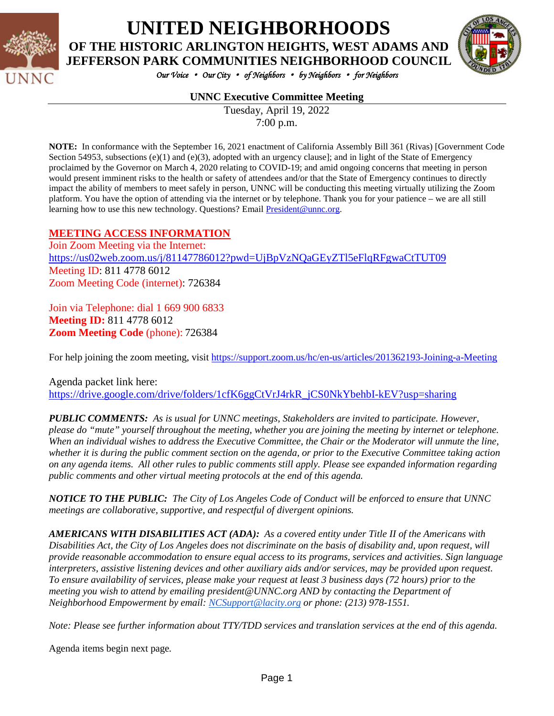

## **UNITED NEIGHBORHOODS OF THE HISTORIC ARLINGTON HEIGHTS, WEST ADAMS AND**

**JEFFERSON PARK COMMUNITIES NEIGHBORHOOD COUNCIL**



*Our Voice* • *Our City* • *of Neighbors* • *by Neighbors* • *for Neighbors* 

#### **UNNC Executive Committee Meeting**

Tuesday, April 19, 2022 7:00 p.m.

**NOTE:** In conformance with the September 16, 2021 enactment of California Assembly Bill 361 (Rivas) [Government Code Section 54953, subsections  $(e)(1)$  and  $(e)(3)$ , adopted with an urgency clause]; and in light of the State of Emergency proclaimed by the Governor on March 4, 2020 relating to COVID-19; and amid ongoing concerns that meeting in person would present imminent risks to the health or safety of attendees and/or that the State of Emergency continues to directly impact the ability of members to meet safely in person, UNNC will be conducting this meeting virtually utilizing the Zoom platform. You have the option of attending via the internet or by telephone. Thank you for your patience – we are all still learning how to use this new technology. Questions? Email [President@unnc.org.](mailto:President@unnc.org)

#### **MEETING ACCESS INFORMATION**

Join Zoom Meeting via the Internet: <https://us02web.zoom.us/j/81147786012?pwd=UjBpVzNQaGEyZTl5eFlqRFgwaCtTUT09> Meeting ID: 811 4778 6012 Zoom Meeting Code (internet): 726384

Join via Telephone: dial 1 669 900 6833 **Meeting ID:** 811 4778 6012 **Zoom Meeting Code** (phone): 726384

For help joining the zoom meeting, visit<https://support.zoom.us/hc/en-us/articles/201362193-Joining-a-Meeting>

Agenda packet link here: [https://drive.google.com/drive/folders/1cfK6ggCtVrJ4rkR\\_jCS0NkYbehbI-kEV?usp=sharing](https://drive.google.com/drive/folders/1cfK6ggCtVrJ4rkR_jCS0NkYbehbI-kEV?usp=sharing)

*PUBLIC COMMENTS: As is usual for UNNC meetings, Stakeholders are invited to participate. However, please do "mute" yourself throughout the meeting, whether you are joining the meeting by internet or telephone. When an individual wishes to address the Executive Committee, the Chair or the Moderator will unmute the line, whether it is during the public comment section on the agenda, or prior to the Executive Committee taking action on any agenda items. All other rules to public comments still apply. Please see expanded information regarding public comments and other virtual meeting protocols at the end of this agenda.*

*NOTICE TO THE PUBLIC: The City of Los Angeles Code of Conduct will be enforced to ensure that UNNC meetings are collaborative, supportive, and respectful of divergent opinions.* 

*AMERICANS WITH DISABILITIES ACT (ADA): As a covered entity under Title II of the Americans with Disabilities Act, the City of Los Angeles does not discriminate on the basis of disability and, upon request, will provide reasonable accommodation to ensure equal access to its programs, services and activities. Sign language interpreters, assistive listening devices and other auxiliary aids and/or services, may be provided upon request. To ensure availability of services, please make your request at least 3 business days (72 hours) prior to the meeting you wish to attend by emailing president@UNNC.org AND by contacting the Department of Neighborhood Empowerment by email: [NCSupport@lacity.org](mailto:NCSupport@lacity.org) or phone: (213) 978-1551.* 

*Note: Please see further information about TTY/TDD services and translation services at the end of this agenda.*

Agenda items begin next page*.*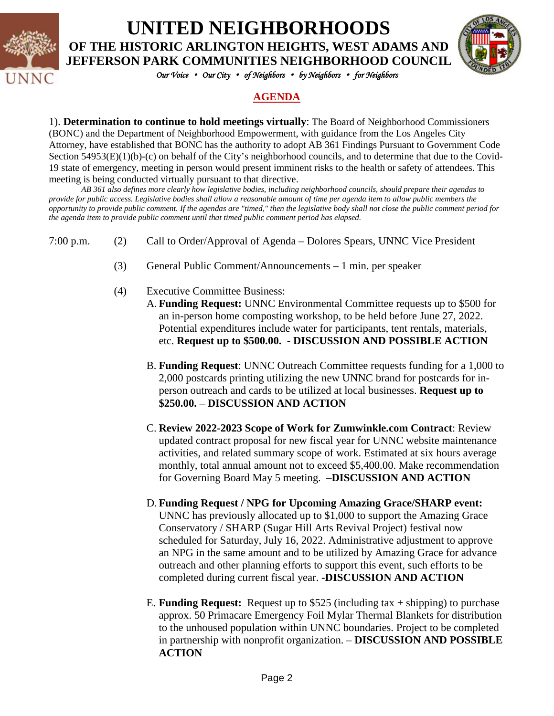

# **UNITED NEIGHBORHOODS**

**OF THE HISTORIC ARLINGTON HEIGHTS, WEST ADAMS AND JEFFERSON PARK COMMUNITIES NEIGHBORHOOD COUNCIL**



*Our Voice* • *Our City* • *of Neighbors* • *by Neighbors* • *for Neighbors* 

#### **AGENDA**

1). **Determination to continue to hold meetings virtually**: The Board of Neighborhood Commissioners (BONC) and the Department of Neighborhood Empowerment, with guidance from the Los Angeles City Attorney, have established that BONC has the authority to adopt AB 361 Findings Pursuant to Government Code Section 54953(E)(1)(b)-(c) on behalf of the City's neighborhood councils, and to determine that due to the Covid-19 state of emergency, meeting in person would present imminent risks to the health or safety of attendees. This meeting is being conducted virtually pursuant to that directive.

*AB 361 also defines more clearly how legislative bodies, including neighborhood councils, should prepare their agendas to provide for public access. Legislative bodies shall allow a reasonable amount of time per agenda item to allow public members the opportunity to provide public comment. If the agendas are "timed," then the legislative body shall not close the public comment period for the agenda item to provide public comment until that timed public comment period has elapsed.*

- 7:00 p.m. (2) Call to Order/Approval of Agenda Dolores Spears, UNNC Vice President
	- (3) General Public Comment/Announcements 1 min. per speaker
	- (4) Executive Committee Business:
		- A. **Funding Request:** UNNC Environmental Committee requests up to \$500 for an in-person home composting workshop, to be held before June 27, 2022. Potential expenditures include water for participants, tent rentals, materials, etc. **Request up to \$500.00. - DISCUSSION AND POSSIBLE ACTION**
		- B. **Funding Request**: UNNC Outreach Committee requests funding for a 1,000 to 2,000 postcards printing utilizing the new UNNC brand for postcards for inperson outreach and cards to be utilized at local businesses. **Request up to \$250.00.** – **DISCUSSION AND ACTION**
		- C. **Review 2022-2023 Scope of Work for Zumwinkle.com Contract**: Review updated contract proposal for new fiscal year for UNNC website maintenance activities, and related summary scope of work. Estimated at six hours average monthly, total annual amount not to exceed \$5,400.00. Make recommendation for Governing Board May 5 meeting. –**DISCUSSION AND ACTION**
		- D. **Funding Request / NPG for Upcoming Amazing Grace/SHARP event:**  UNNC has previously allocated up to \$1,000 to support the Amazing Grace Conservatory / SHARP (Sugar Hill Arts Revival Project) festival now scheduled for Saturday, July 16, 2022. Administrative adjustment to approve an NPG in the same amount and to be utilized by Amazing Grace for advance outreach and other planning efforts to support this event, such efforts to be completed during current fiscal year. **-DISCUSSION AND ACTION**
		- E. **Funding Request:** Request up to \$525 (including tax + shipping) to purchase approx. 50 Primacare Emergency Foil Mylar Thermal Blankets for distribution to the unhoused population within UNNC boundaries. Project to be completed in partnership with nonprofit organization. – **DISCUSSION AND POSSIBLE ACTION**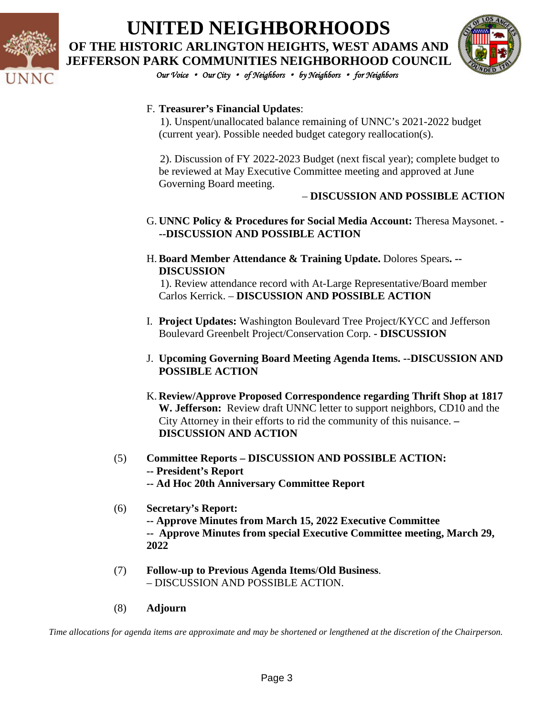

## **UNITED NEIGHBORHOODS OF THE HISTORIC ARLINGTON HEIGHTS, WEST ADAMS AND JEFFERSON PARK COMMUNITIES NEIGHBORHOOD COUNCIL**



*Our Voice* • *Our City* • *of Neighbors* • *by Neighbors* • *for Neighbors* 

#### F. **Treasurer's Financial Updates**:

 1). Unspent/unallocated balance remaining of UNNC's 2021-2022 budget (current year). Possible needed budget category reallocation(s).

 2). Discussion of FY 2022-2023 Budget (next fiscal year); complete budget to be reviewed at May Executive Committee meeting and approved at June Governing Board meeting.

#### – **DISCUSSION AND POSSIBLE ACTION**

#### G. **UNNC Policy & Procedures for Social Media Account:** Theresa Maysonet. **- --DISCUSSION AND POSSIBLE ACTION**

H.**Board Member Attendance & Training Update.** Dolores Spears**. -- DISCUSSION**

 1). Review attendance record with At-Large Representative/Board member Carlos Kerrick. – **DISCUSSION AND POSSIBLE ACTION**

- I. **Project Updates:** Washington Boulevard Tree Project/KYCC and Jefferson Boulevard Greenbelt Project/Conservation Corp. **- DISCUSSION**
- J. **Upcoming Governing Board Meeting Agenda Items. --DISCUSSION AND POSSIBLE ACTION**
- K. **Review/Approve Proposed Correspondence regarding Thrift Shop at 1817 W. Jefferson:** Review draft UNNC letter to support neighbors, CD10 and the City Attorney in their efforts to rid the community of this nuisance. **– DISCUSSION AND ACTION**
- (5) **Committee Reports – DISCUSSION AND POSSIBLE ACTION: -- President's Report -- Ad Hoc 20th Anniversary Committee Report**
- (6) **Secretary's Report: -- Approve Minutes from March 15, 2022 Executive Committee -- Approve Minutes from special Executive Committee meeting, March 29, 2022**
- (7) **Follow-up to Previous Agenda Items**/**Old Business**. – DISCUSSION AND POSSIBLE ACTION.
- (8) **Adjourn**

*Time allocations for agenda items are approximate and may be shortened or lengthened at the discretion of the Chairperson.*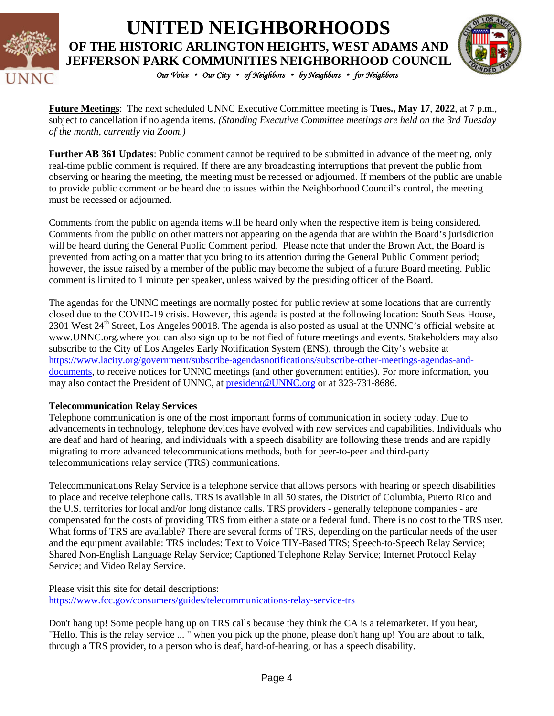

### *Our Voice* • *Our City* • *of Neighbors* • *by Neighbors* • *for Neighbors*  **UNITED NEIGHBORHOODS OF THE HISTORIC ARLINGTON HEIGHTS, WEST ADAMS AND JEFFERSON PARK COMMUNITIES NEIGHBORHOOD COUNCIL**



**Future Meetings**: The next scheduled UNNC Executive Committee meeting is **Tues., May 17**, **2022**, at 7 p.m., subject to cancellation if no agenda items. *(Standing Executive Committee meetings are held on the 3rd Tuesday of the month, currently via Zoom.)*

**Further AB 361 Updates**: Public comment cannot be required to be submitted in advance of the meeting, only real-time public comment is required. If there are any broadcasting interruptions that prevent the public from observing or hearing the meeting, the meeting must be recessed or adjourned. If members of the public are unable to provide public comment or be heard due to issues within the Neighborhood Council's control, the meeting must be recessed or adjourned.

Comments from the public on agenda items will be heard only when the respective item is being considered. Comments from the public on other matters not appearing on the agenda that are within the Board's jurisdiction will be heard during the General Public Comment period. Please note that under the Brown Act, the Board is prevented from acting on a matter that you bring to its attention during the General Public Comment period; however, the issue raised by a member of the public may become the subject of a future Board meeting. Public comment is limited to 1 minute per speaker, unless waived by the presiding officer of the Board.

The agendas for the UNNC meetings are normally posted for public review at some locations that are currently closed due to the COVID-19 crisis. However, this agenda is posted at the following location: South Seas House, 2301 West  $24<sup>th</sup>$  Street, Los Angeles 90018. The agenda is also posted as usual at the UNNC's official website at [www.UNNC.org.](http://www.unnc.org/)where you can also sign up to be notified of future meetings and events. Stakeholders may also subscribe to the City of Los Angeles Early Notification System (ENS), through the City's website at [https://www.lacity.org/government/subscribe-agendasnotifications/subscribe-other-meetings-agendas-and](https://www.lacity.org/government/subscribe-agendasnotifications/subscribe-other-meetings-agendas-and-documents)[documents,](https://www.lacity.org/government/subscribe-agendasnotifications/subscribe-other-meetings-agendas-and-documents) to receive notices for UNNC meetings (and other government entities). For more information, you may also contact the President of UNNC, at **president@UNNC.org** or at 323-731-8686.

#### **Telecommunication Relay Services**

Telephone communication is one of the most important forms of communication in society today. Due to advancements in technology, telephone devices have evolved with new services and capabilities. Individuals who are deaf and hard of hearing, and individuals with a speech disability are following these trends and are rapidly migrating to more advanced telecommunications methods, both for peer-to-peer and third-party telecommunications relay service (TRS) communications.

Telecommunications Relay Service is a telephone service that allows persons with hearing or speech disabilities to place and receive telephone calls. TRS is available in all 50 states, the District of Columbia, Puerto Rico and the U.S. territories for local and/or long distance calls. TRS providers - generally telephone companies - are compensated for the costs of providing TRS from either a state or a federal fund. There is no cost to the TRS user. What forms of TRS are available? There are several forms of TRS, depending on the particular needs of the user and the equipment available: TRS includes: Text to Voice TIY-Based TRS; Speech-to-Speech Relay Service; Shared Non-English Language Relay Service; Captioned Telephone Relay Service; Internet Protocol Relay Service; and Video Relay Service.

Please visit this site for detail descriptions: <https://www.fcc.gov/consumers/guides/telecommunications-relay-service-trs>

Don't hang up! Some people hang up on TRS calls because they think the CA is a telemarketer. If you hear, "Hello. This is the relay service ... " when you pick up the phone, please don't hang up! You are about to talk, through a TRS provider, to a person who is deaf, hard-of-hearing, or has a speech disability.